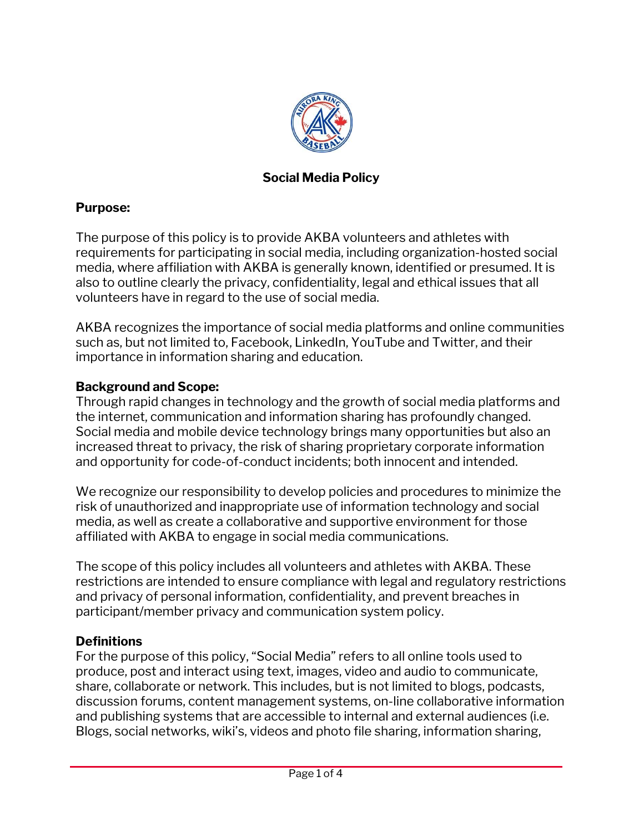

### **Social Media Policy**

### **Purpose:**

The purpose of this policy is to provide AKBA volunteers and athletes with requirements for participating in social media, including organization-hosted social media, where affiliation with AKBA is generally known, identified or presumed. It is also to outline clearly the privacy, confidentiality, legal and ethical issues that all volunteers have in regard to the use of social media.

AKBA recognizes the importance of social media platforms and online communities such as, but not limited to, Facebook, LinkedIn, YouTube and Twitter, and their importance in information sharing and education.

### **Background and Scope:**

Through rapid changes in technology and the growth of social media platforms and the internet, communication and information sharing has profoundly changed. Social media and mobile device technology brings many opportunities but also an increased threat to privacy, the risk of sharing proprietary corporate information and opportunity for code-of-conduct incidents; both innocent and intended.

We recognize our responsibility to develop policies and procedures to minimize the risk of unauthorized and inappropriate use of information technology and social media, as well as create a collaborative and supportive environment for those affiliated with AKBA to engage in social media communications.

The scope of this policy includes all volunteers and athletes with AKBA. These restrictions are intended to ensure compliance with legal and regulatory restrictions and privacy of personal information, confidentiality, and prevent breaches in participant/member privacy and communication system policy.

### **Definitions**

For the purpose of this policy, "Social Media" refers to all online tools used to produce, post and interact using text, images, video and audio to communicate, share, collaborate or network. This includes, but is not limited to blogs, podcasts, discussion forums, content management systems, on-line collaborative information and publishing systems that are accessible to internal and external audiences (i.e. Blogs, social networks, wiki's, videos and photo file sharing, information sharing,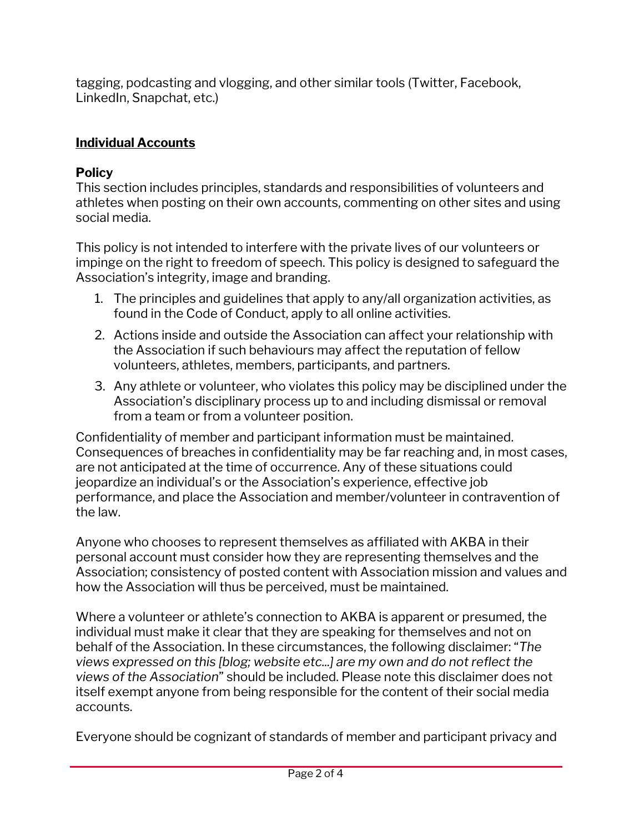tagging, podcasting and vlogging, and other similar tools (Twitter, Facebook, LinkedIn, Snapchat, etc.)

## **Individual Accounts**

# **Policy**

This section includes principles, standards and responsibilities of volunteers and athletes when posting on their own accounts, commenting on other sites and using social media.

This policy is not intended to interfere with the private lives of our volunteers or impinge on the right to freedom of speech. This policy is designed to safeguard the Association's integrity, image and branding.

- 1. The principles and guidelines that apply to any/all organization activities, as found in the Code of Conduct, apply to all online activities.
- 2. Actions inside and outside the Association can affect your relationship with the Association if such behaviours may affect the reputation of fellow volunteers, athletes, members, participants, and partners.
- 3. Any athlete or volunteer, who violates this policy may be disciplined under the Association's disciplinary process up to and including dismissal or removal from a team or from a volunteer position.

Confidentiality of member and participant information must be maintained. Consequences of breaches in confidentiality may be far reaching and, in most cases, are not anticipated at the time of occurrence. Any of these situations could jeopardize an individual's or the Association's experience, effective job performance, and place the Association and member/volunteer in contravention of the law.

Anyone who chooses to represent themselves as affiliated with AKBA in their personal account must consider how they are representing themselves and the Association; consistency of posted content with Association mission and values and how the Association will thus be perceived, must be maintained.

Where a volunteer or athlete's connection to AKBA is apparent or presumed, the individual must make it clear that they are speaking for themselves and not on behalf of the Association. In these circumstances, the following disclaimer: "*The views expressed on this [blog; website etc...] are my own and do not reflect the views of the Association*" should be included. Please note this disclaimer does not itself exempt anyone from being responsible for the content of their social media accounts.

Everyone should be cognizant of standards of member and participant privacy and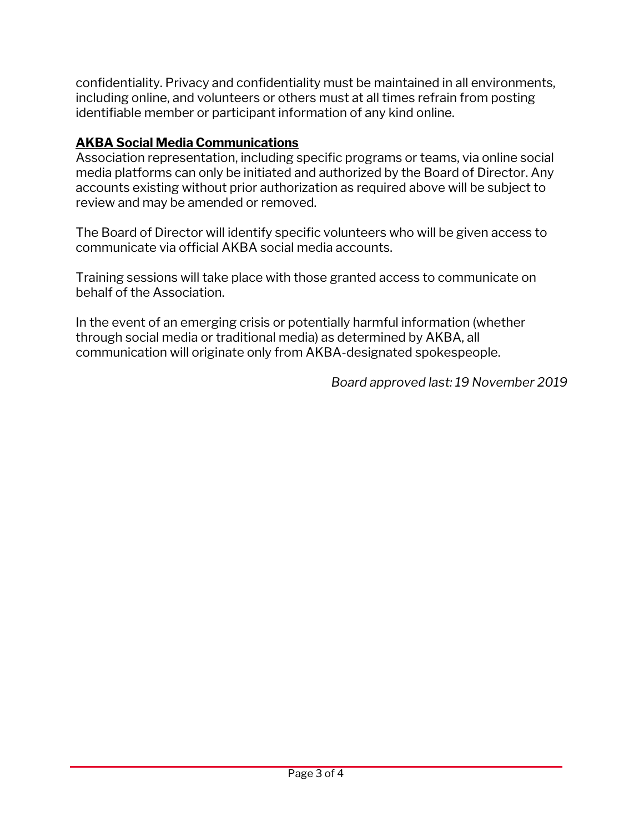confidentiality. Privacy and confidentiality must be maintained in all environments, including online, and volunteers or others must at all times refrain from posting identifiable member or participant information of any kind online.

## **AKBA Social Media Communications**

Association representation, including specific programs or teams, via online social media platforms can only be initiated and authorized by the Board of Director. Any accounts existing without prior authorization as required above will be subject to review and may be amended or removed.

The Board of Director will identify specific volunteers who will be given access to communicate via official AKBA social media accounts.

Training sessions will take place with those granted access to communicate on behalf of the Association.

In the event of an emerging crisis or potentially harmful information (whether through social media or traditional media) as determined by AKBA, all communication will originate only from AKBA-designated spokespeople.

*Board approved last: 19 November 2019*